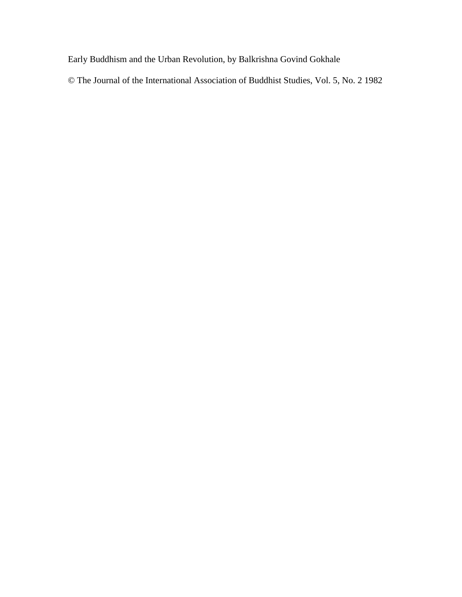Early Buddhism and the Urban Revolution, by Balkrishna Govind Gokhale

© The Journal of the International Association of Buddhist Studies, Vol. 5, No. 2 1982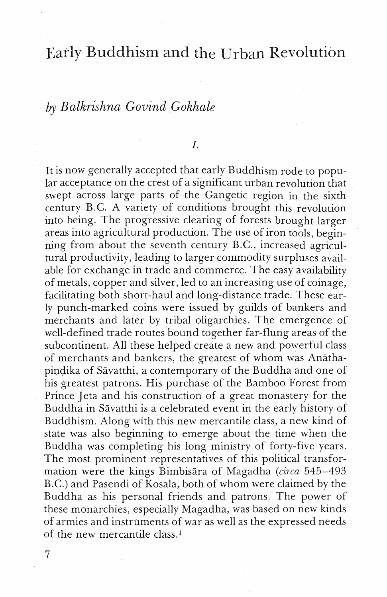# Early Buddhism and the Urban Revolution

## by *Balkrishnn Goliind Gokhale*

#### $I.$

It is now generally accepted that early Buddhism rode to popular acceptance on the crest of a significant urban revolution that swept across large parts of the Gangetic region in the sixth century B.C. A variety of conditions brought this revolution into being. The progressive clearing of forests brought larger areas into agricultural production. The use of iron tools, beginning from about the seventh century B.C., increased agricultural productivity, leading to larger commodity surpluses available for exchange in trade and commerce. The easy availability of metals, copper and silver, led to an increasing use of coinage, facilitating both short-haul and long-distance trade. These early punch-marked coins were issued by guilds of bankers and merchants and later by tribal oligarchies. The emergence of well-defined trade routes bound together far-flung areas of the subcontinent. All these helped create a new and powerful class of merchants and bankers, the greatest of whom was Anathapindika of Sāvatthi, a contemporary of the Buddha and one of his greatest patrons. His purchase of the Bamboo Forest from Prince Jeta and his construction of a great monastery for the Buddha in Sāvatthi is a celebrated event in the early history of Buddhism. Along with this new mercantile class, a new kind of state was also beginning to emerge about the time when the Buddha was completing his long ministry of forty-five years. The most prominent representatives of this political transformation were the kings Bimbisara of Magadha (circa 545-493) B.C.) and Pasendi of Kosala, both of whom were claimed by the Buddha as his personal friends and patrons. The power of these monarchies, especially Magadha, was based on new kinds of armies and instruments of war as well as the expressed needs of the new mercantile class.'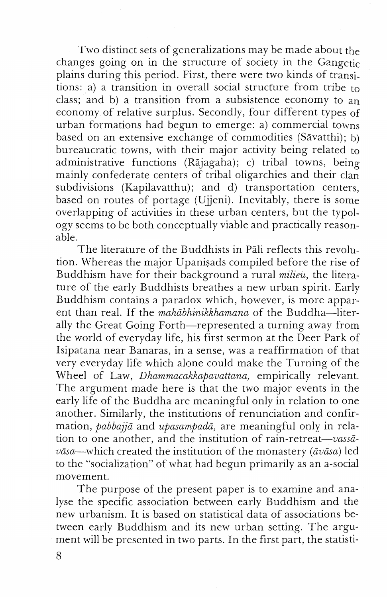Two distinct sers of generalizations may be made about the changes going on in the structure of society in the Gangetic plains during this period. First, there were two kinds of transitions: a) a transition in overall social structure from tribe to class; and b) a transition from a subsistence economy to an economy of relative surplus. Secondly, four different types of urban formations had begun to emerge: a) commercial towns based on an extensive exchange of commodities (Savatthi); b) bureaucratic towns, with their major activity being related to administrative functions (Rājagaha); c) tribal towns, being mainly confederate centers of tribal oligarchies and their clan subdivisions (Kapilavatthu); and d) transportation centers, based on routes of portage (Ujjeni). Inevitably, there is some overlapping of activities in these urban centers, but the typology seems to be both conceptually viable and practically reasonable.

The literature of the Buddhists in Pāli reflects this revolution. Whereas the major Upanisads compiled before the rise of Buddhism have for their background a rural milieu, the literature of the early Buddhists breathes a new urban spirit. Early Buddhism contains a paradox which, however, is more apparent than real. If the mahabhinikkhamana of the Buddha-literally the Great Going Forth—represented a turning away from the world of everyday life, his first sermon at the Deer Park of Isipatana near Banaras, in a sense, was a reaffirmation of that very everyday life which alone could make the Turning of the Wheel of Law, Dhammacakkapavattana, empirically relevant. The argument made here is that the two major events in the early life of the Buddha are meaningful only in relation to one another. Similarly, the institutions of renunciation and confirmation, *pabbajjā* and *upasampadā*, are meaningful only in relation to one another, and the institution of rain-retreat-vassavāsa—which created the institution of the monastery ( $\bar{a}v\bar{a}sa$ ) led to the "socialization" of what had begun primarily as an a-social movement.

The purpose of the present paper is to examine and analyse the specific association between early Buddhism and the new urbanism. It is based on statistical data of associations between early Buddhism and its new urban setting. The argument will be presented in two parts. In the first part, the statisti-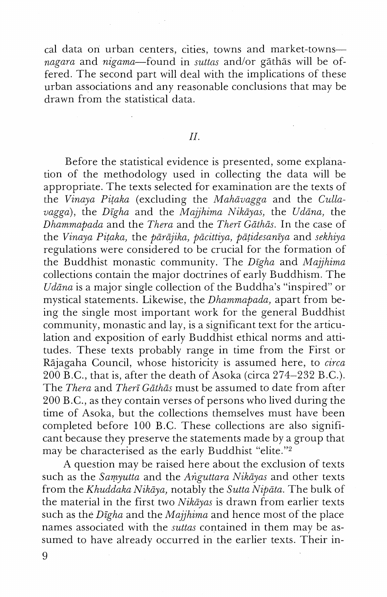cal data on urban centers, cities, towns and market-towns*nagara* and *nigama-found* in *suttas* and/or gathas will be offered. The second part will deal with the implications of these urban associations and any reasonable conclusions that may be drawn from the statistical data.

### *II.*

Before the statistical evidence is presented, some explanation of the rnethodology used in collecting the data will be appropriate. The texts selected for examination are the texts of the *Vinaya Pitaka* (excluding the *Mahāvagga* and the *Cullavagga*), the *Digha* and the *Majjhima Nikāyas*, the *Udāna*, the *Dhammapada* and the *Thera* and the *Theri Giithas.* In the case of the *Vinaya Pitaka*, the *pārājika, pācittiya, pāṭidesanīya* and *sekhiya* regulations were considered to be crucial for the formation of the Buddhist monastic community. The *Digha* and *Majjhima* collections contain the major doctrines of early Buddhism. The *Udāna* is a major single collection of the Buddha's "inspired" or mystical statements. Likewise, the *Dhammnpada,* apart from being the single most important work for the general Buddhist community, monastic and lay, is a significant text for the articulation and exposition of early Buddhist ethical norms and attitudes. These texts probably range in time from the First or Rgjagaha Council, whose historicity is assumed here, to *circa*   $200 \text{ B.C.}$ , that is, after the death of Asoka (circa 274-232 B.C.). The *Thera* and *Theri Gathds* must be assumed to date from after 200 B.C., as they contain verses of persons who lived during the time of Asoka, but the collections themselves must have been completed before 100 B.C. These collections are also significant because they preserve the statements made by a group that may be characterised as the early Buddhist "elite."<sup>2</sup>

A question may be raised here about the exclusion of texts such as the *Sawutta* and the *Arigzlttara Nikdyas* and other texts from the *Khuddaka Nikāya*, notably the *Sutta Nipāta*. The bulk of the material in the first two *Nikayas* is drawn from earlier texts such as the *Digha* and the *Majjhima* and hence most of the place names associated with the *suttas* contained in them may be assumed to have already occurred in the earlier texts. Their in-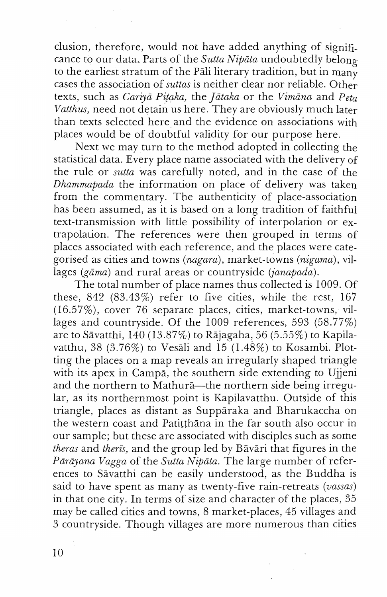clusion, therefore, would not have added anything of significance to our data. Parts of the *Sutta Nipata* undoubtedly belong to the earliest stratum of the Pali literary tradition, but in many cases the association of *suttas* is neither clear nor reliable. Oiher texts, such as *Cariycz Pztaka,* the *JEtaka* or the *Vimana* and *Peta Vatthus,* need not detain us here. They are obviously much later than texts selected here and the evidence on associations with places would be of doubtful validity for our purpose here.

Next we may turn to the method adopted in collecting the statistical data. Every place name associated with the delivery of the rule or *sutta* was carefully noted, and in the case of the *Dhammapada* the information on place of delivery was taken from the commentary. The authenticity of place-association has been assumed, as it is based on a long tradition of faithful text-transmission with little possibility of interpolation or extrapolation. The references were then grouped in terms of places associated with each reference, and the places were categorised as cities and towns *(nagara),* market-towns *(nigama),* villages *(gāma)* and rural areas or countryside *(janapada)*.

The total number of place names thus collected is *1009.* Of these, *842 (83.43%)* refer to five cities, while the rest, *167 (16.57%),* cover *76* separate places, cities, market-towns, villages and countryside. Of the *1009* references, *593 (58.77%)*  are to Savatthi, *140 (13.87%)* to Rajagaha, *56 (5.55%)* to Kapilavatthu, *38 (3.76%)* to Vesali and *15 (1.48%)* to Kosambi. Plotting the places on a map reveals an irregularly shaped triangle with its apex in Campa, the southern side extending to Ujjeni and the northern to Mathurā-the northern side being irregular, as its northernmost point is Kapilavatthu. Outside of this triangle, places as distant as Supparaka and Bharukaccha on the western coast and Patitthana in the far south also occur in our sample; but these are associated with disciples such as some *theras* and *theris,* and the group led by Bavari that figures in the Pārāyana Vagga of the *Sutta Nipāta*. The large number of references to Savatthi can be easily understood, as the Buddha is said to have spent as many as twenty-five rain-retreats *(uassas)*  in that one city. In terms of size and character of the places, *35*  may be called cities and towns, *8* market-places, *45* villages and *3* countryside. Though villages are more numerous than cities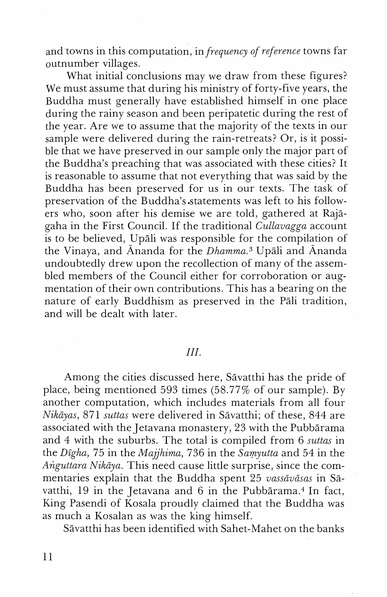and towns in this computation, in *frequency* of *reference* towns far outnumber villages.

What initial conclusions may we draw from these figures? We must assume that during his ministry of forty-five years, the Buddha must generally have established himself in one place during the rainy season and been peripatetic during the rest of the year. Are we to assume that the majority of the texts in our sample were delivered during the rain-retreats? Or, is it possible that we have preserved in our sample only the major part of the Buddha's preaching that was associated with these cities? It is reasonable to assume that not everything that was said by the Buddha has been preserved for us in our texts. The task of preservation of the Buddha's statements was left to his followers who, soon after his demise we are told, gathered at Raj3 gaha in the First Council. If the traditional *Cullavagga* account is to be believed, Upali was responsible for the compilation of the Vinaya, and  $\bar{A}$ nanda for the *Dhamma*.<sup>3</sup> Upali and  $\bar{A}$ nanda undoubtedly drew upon the recollection of many of the assembled members of the Council either for corroboration or augmentation of their own contributions. This has a bearing on the nature of early Buddhism as preserved in the Pali tradition, and will be dealt with later.

### *III.*

Among the cities discussed here, Savatthi has the pride of place, being mentioned 593 times (58.77% of our sample). By another computation, which includes materials from all four *Nikciyas,* 871 *sz~ttas* were delivered in Savatthi; of these, 844 are associated with the Jetavana monastery, 23 with the Pubbārama and 4 with the suburbs. The total is compiled from 6 *suttas* in the *Digha,* 75 in the *Majjhima,* 736 in the *Samjlutta* and 54 in the Anguttara Nikāya. This need cause little surprise, since the commentaries explain that the Buddha spent 25 *uassauiisas* in Savatthi, 19 in the Jetavana and 6 in the Pubbārama.<sup>4</sup> In fact, King Pasendi of Kosala proudly claimed that the Buddha was as much a Kosalan as was the king himself.

S3vatthi has been identified with Sahet-Mahet on the banks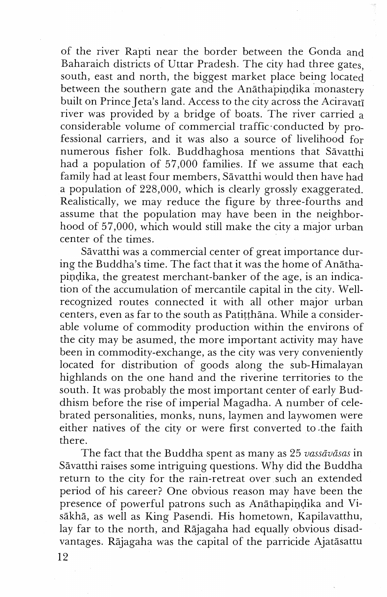of the river Rapti near the border between the Gonda and Baharaich districts of Uttar Pradesh. The city had three gates, south, east and north, the biggest market place being located between the southern gate and the Anāthapindika monastery built on Prince Jeta's land. Access to the city across the Aciravati river was provided by a bridge of boats. The river carried a considerable volume of commercial traffic conducted by professional carriers, and it was also a source of livelihood for numerous fisher folk. Buddhaghosa mentions that Sāvatthi had a population of 57,000 families. If we assume that each family had at least four members, Sāvatthi would then have had a population of 228,000, which is clearly grossly exaggerated. Realistically, we may reduce the figure by three-fourths and assume that the population may have been in the neighborhood of 57,000, which would still make the city a major urban center of the times.

Savatthi was a commercial center of great importance during the Buddha's time. The fact that it was the home of Anathapindika, the greatest merchant-banker of the age, is an indication of the accumulation of mercantile capital in the city. Wellrecognized routes connected it with all other major urban centers, even as far to the south as Patitthana. While a considerable volume of commodity production within the environs of the city may be asumed, the more important activity may have been in commodity-exchange, as the city was very conveniently located for distribution of goods along the sub-Himalayan highlands on the one hand and the riverine territories to the south. It was probably the most important center of early Buddhism before the rise of imperial Magadha. A number of celebrated personalities, monks, nuns, laymen and laywomen were either natives of the city or were first converted to the faith there.

The fact that the Buddha spent as many as 25 vassāvāsas in Savatthi raises some intriguing questions. Why did the Buddha return to the city for the rain-retreat over such an extended period of his career? One obvious reason may have been the presence of powerful patrons such as Anathapindika and Visakha, as well as King Pasendi. His hometown, Kapilavatthu, lay far to the north, and Rajagaha had equally obvious disadvantages. Rajagaha was the capital of the parricide Ajatasattu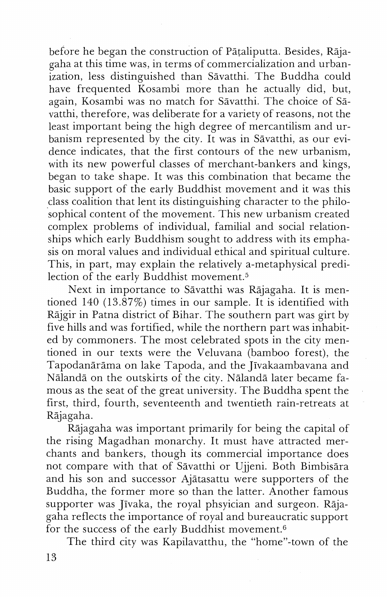before he began the construction of Pataliputta. Besides, Rajagaha at this time was, in terms of commercialization and urbanization, less distinguished than Savatthi. The Buddha could have frequented Kosambi more than he actually did, but, again, Kosambi was no match for Sāvatthi. The choice of Sāvatthi, therefore, was deliberate for a variety of reasons, not the least important being the high degree of mercantilism and urbanism represented by the city. It was in Savatthi, as our evidence indicates, that the first contours of the new urbanism, with its new powerful classes of merchant-bankers and kings, began to take shape. It was this combination that became the basic support of the early Buddhist movement and it was this class coalition that lent its distinguishing character to the philosophical content of the movement. This new urbanism created complex problems of individual, familial and social relationships which early Buddhism sought to address with its emphasis on moral values and individual ethical and spiritual culture. This, in part, may explain the relatively a-metaphysical predilection of the early Buddhist movement.<sup>5</sup>

Next in importance to Savatthi was Rajagaha. It is mentioned 140 (13.87%) times in our sample. It is identified with Rajgir in Patna district of Bihar. The southern part was girt by five hills and was fortified, while the northern part was inhabited by commoners. The most celebrated spots in the city mentioned in our texts were the Veluvana (bamboo forest), the Tapodanārāma on lake Tapoda, and the Jīvakaambavana and Nālandā on the outskirts of the city. Nālandā later became famous as the seat of the great university. The Buddha spent the first, third, fourth, seventeenth and twentieth rain-retreats at Rsjagaha.

Rajagaha was important primarily for being the capital of the rising Magadhan monarchy. It must have attracted merchants and bankers, though its commercial importance does not compare with that of Savatthi or Ujeni. Both Bimbisara and his son and successor Ajatasattu were supporters of the Buddha, the former more so than the latter. Another famous supporter was Jīvaka, the royal phsyician and surgeon. Rājagaha reflects the importance of royal and bureaucratic support for the success of the early Buddhist movement. $6$ 

The third city was Kapilavatthu, the "home"-town of the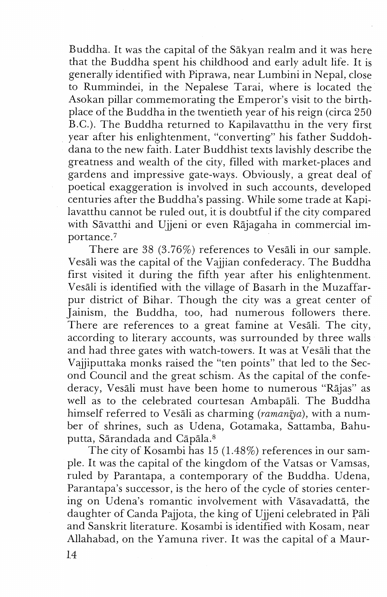Buddha. It was the capital of the Sakyan realm and it was here that the Buddha spent his childhood and early adult life. It is generally identified with Piprawa, near Lumbini in Nepal, close to Rummindei, in the Nepalese Tarai, where is located the Asokan pillar commemorating the Emperor's visit to the birthplace of the Buddha in the twentieth year of his reign (circa 250 B.C.). The Buddha returned to Kapilavatthu in the very first year after his enlightenment, "converting" his father Suddohdana to the new faith. Later Buddhist texts lavishly describe the greatness and wealth of the city, filled with market-places and gardens and impressive gate-ways. Obviously, a great deal of poetical exaggeration is involved in such accounts, developed centuries after the Buddha's passing. While some trade at Kapilavatthu cannot be ruled out, it is doubtful if the city compared with Savatthi and Ujeni or even Rajagaha in commercial importance.<sup>7</sup>

There are  $38$  (3.76%) references to Vesali in our sample. Vesali was the capital of the Vajjian confederacy. The Buddha first visited it during the fifth year after his enlightenment. Vesali is identified with the village of Basarh in the Muzaffarpur district of Bihar. Though the city was a great center of Jainism, the Buddha, too, had numerous followers there. There are references to a great famine at Vesali. The city, according to literary accounts, was surrounded by three walls and had three gates with watch-towers. It was at Vesali that the Vajiputtaka monks raised the "ten points" that led to the Second Council and the great schism. As the capital of the confederacy, Vesali must have been home to numerous "Rajas" as well as to the celebrated courtesan Ambapali. The Buddha himself referred to Vesali as charming ( $r_{\alpha}$ man $\bar{v}_{\alpha}$ ), with a number of shrines, such as Udena, Gotamaka, Sattamba, Bahuputta, Sārandada and Cāpāla.<sup>8</sup>

The city of Kosambi has 15 (1.48%) references in our sample. It was the capital of the kingdom of the Vatsas or Vamsas, ruled by Parantapa, a contemporary of the Buddha. Udena, Parantapa's successor, is the hero of the cycle of stories centering on Udena's romantic involvement with Vāsavadattā, the daughter of Canda Pajota, the king of Ujeni celebrated in Pali and Sanskrit literature. Kosambi is identified with Kosam, near Allahabad, on the Yamuna river. It was the capital of a Maur-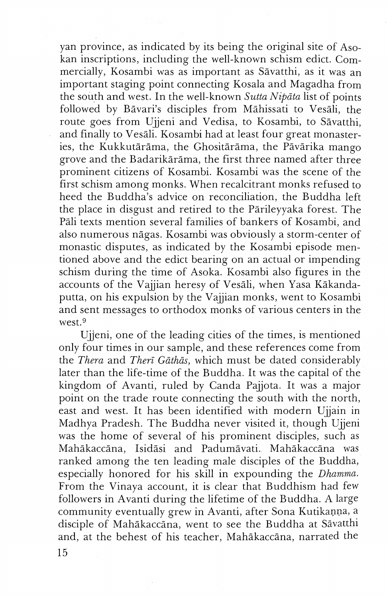yan province, as indicated by its being the original site of Asokan inscriptions, including the well-known schism edict. Commercially, Kosambi was as important as Sāvatthi, as it was an important staging point connecting Kosala and Magadha from the south and west. In the well-known *Sutta Nipata* list of points followed by Bāvari's disciples from Māhissati to Vesāli, the route goes from Ujjeni and Vedisa, to Kosambi, to Savatthi, and finally to Vesāli. Kosambi had at least four great monasteries, the Kukkutārāma, the Ghositārāma, the Pāvārika mango grove and the Badarikārāma, the first three named after three prominent citizens of Kosambi. Kosambi was the scene of the first schism among monks. When recalcitrant monks refused to heed the Buddha's advice on reconciliation, the Buddha left the place in disgust and retired to the Parileyyaka forest. The Pali texts mention several families of bankers of Kosambi, and also numerous nāgas. Kosambi was obviously a storm-center of monastic disputes, as indicated by the Kosambi episode mentioned above and the edict bearing on an actual or impending schism during the time of Asoka. Kosambi also figures in the accounts of the Vajjian heresy of Vesāli, when Yasa Kākandaputta, on his expulsion by the Vajjian monks, went to Kosambi and sent messages to orthodox monks of various centers in the west.<sup>9</sup>

Ujjeni, one of the leading cities of the times, is mentioned only four times in our sample, and these references come from the *Thera* and *Therī Gāthās*, which must be dated considerably later than the life-time of the Buddha. It was the capital of the kingdom of Avanti, ruled by Canda Pajota. It was a major point on the trade route connecting the south with the north, east and west. It has been identified with modern Ujain in Madhya Pradesh. The Buddha never visited it, though Ujjeni was the home of several of his prominent disciples, such as Mahākaccāna, Isidāsi and Padumāvati. Mahākaccāna was ranked among the ten leading male disciples of the Buddha, especially honored for his skill in expounding the *Dhamma*. From the Vinaya account, it is clear that Buddhism had few followers in Avanti during the lifetime of the Buddha. A large community eventually grew in Avanti, after Sona Kutikanna, a disciple of Mahākaccāna, went to see the Buddha at Sāvatthi and, at the behest of his teacher, Mahgkaccana, narrated the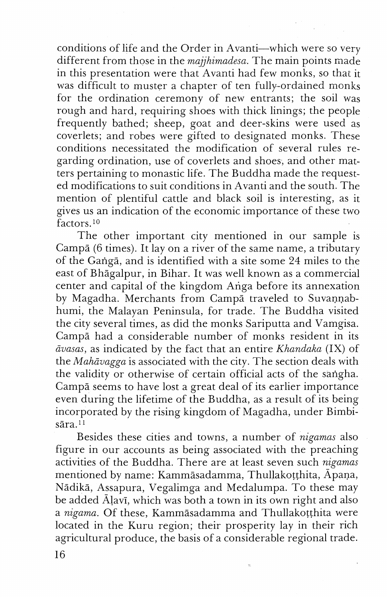conditions of life and the Order in Avanti-which were so very different from those in the *majjhimadesn.* The main points made in this presentation were that Avanti had few monks, so that it was difficult to muster a chapter of ten fully-ordained monks for the ordination ceremony of new entrants; the soil was rough and hard, requiring shoes with thick linings; the people frequently bathed; sheep, goat and deer-skins were used as coverlets; and robes were gifted to designated monks. These conditions necessitated the modification of several rules regarding ordination, use of coverlets and shoes, and other matters pertaining to monastic life. The Buddha made the requested modifications to suit conditions in Avanti and the south. The mention of plentiful cattle and black soil is interesting, as it gives us an indication of the economic importance of these two factors.<sup>10</sup>

The other important city mentioned in our sample is Campā (6 times). It lay on a river of the same name, a tributary of the Gangā, and is identified with a site some 24 miles to the east of Bhagalpur, in Bihar. It was well known as a commercial center and capital of the kingdom Ariga before its annexation by Magadha. Merchants from Campa traveled to Suvannabhumi, the Malayan Peninsula, for trade. The Buddha visited the city several times, as did the monks Sariputta and Vamgisa. Campā had a considerable number of monks resident in its *civasas,* as indicated by the fact that an entire *Khandaka* (IX) of the *Mahāvagga* is associated with the city. The section deals with the validity or otherwise of certain official acts of the sangha. Campā seems to have lost a great deal of its earlier importance even during the lifetime of the Buddha, as a result of its being incorporated by the rising kingdom of Nagadha, under Bimbisāra.<sup>11</sup>

Besides these cities and towns, a number of *nzgamas* also figure in our accounts as being associated with the preaching activities of the Buddha. There are at least seven such *nigamas*  mentioned by name: Kammāsadamma, Thullakotthita, Āpaṇa, Nadika, Assapura, Vegalimga and Medalumpa. To these may be added Alavi, which was both a town in its own right and also a *nigama.* Of these, Kammasadamma and Thullakotthita were located in the Kuru region; their prosperity lay in their rich agricultural produce, the basis of a considerable regional trade.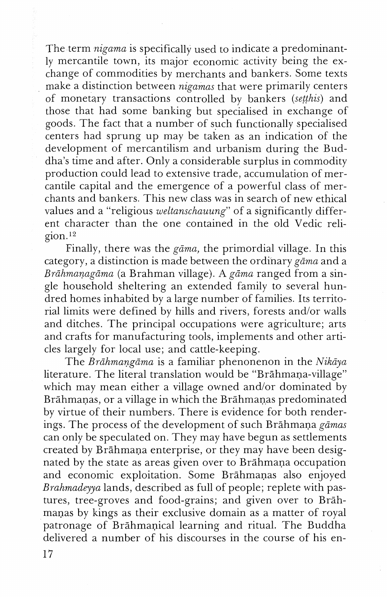The term *nigama* is specifically used to indicate a predominantly mercantile town, its major economic activity being the exchange of commodities by merchants and bankers. Some texts make a distinction between *nigamas* that were primarily centers of monetary transactions controlled by bankers *(seghis)* and those that had some banking but specialised in exchange of goods. The fact that a number of such functionally specialised centers had sprung up may be taken as an indication of the development of mercantilism and urbanism during the Buddha's time and after. Only a considerable surplus in commodity production could lead to extensive trade, accumulation of mercantile capital and the emergence of a powerful class of merchants and bankers. This new class was in search of new ethical values and a "religious *weltanschauung*" of a significantly different character than the one contained in the old Vedic reli $g$ ion.<sup>12</sup>

Finally, there was the *gāma*, the primordial village. In this category, a distinction is made between the ordinary *gama* and a *Brdhmanagdma* (a Brahman village). A *gcima* ranged from a single household sheltering an extended family to several hundred homes inhabited by a large number of families. Its territorial limits were defined by hills and rivers, forests and/or walls and ditches. The principal occupations were agriculture; arts and crafts for manufacturing tools, implements and other articles largely for local use; and cattle-keeping.

The *Bnihmangama* is a familiar phenonenon in the *Aiikqa*  literature. The literal translation would be "Brāhmaņa-village" which may mean either a village owned and/or dominated by Brāhmanas, or a village in which the Brāhmanas predominated by virtue of their numbers. There is evidence for both renderings. The process of the development of such Brahmans *gamas*  can only be speculated on. They may have begun as settlements created by Brāhmaņa enterprise, or they may have been designated by the state as areas given over to Brāhmana occupation and economic exploitation. Some Brāhmanas also enjoyed *Brnhrnadeyya* lands, described as full of people; replete with pastures, tree-groves and food-grains; and given over to Brahmanas by kings as their exclusive domain as a matter of royal patronage of Brahmanical learning and ritual. The Buddha delivered a number of his discourses in the course of his en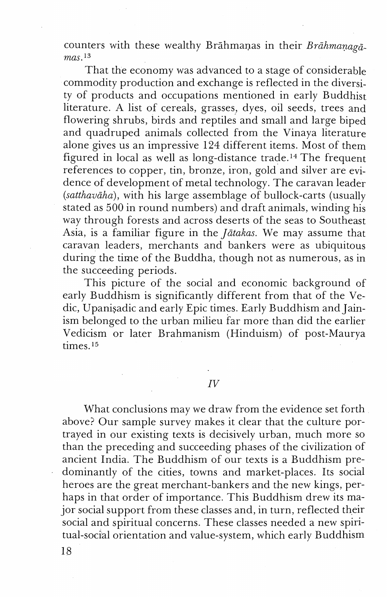counters with these wealthy Brāhmaņas in their Brāhmaņagā $mas.$ <sup>13</sup>

That the economy was advanced to a stage of considerable commodity production and exchange is reflected in the diversity of products and occupations mentioned in early Buddhist literature. A list of cereals, grasses, dyes, oil seeds, trees and flowering shrubs, birds and reptiles and small and large biped and quadruped animals collected from the Vinaya literature alone gives us an impressive 124 different items. Most of them figured in local as well as long-distance trade.14 The frequent references to copper, tin, bronze, iron, gold and silver are evidence of development of metal technology. The caravan leader  $(sathavāha)$ , with his large assemblage of bullock-carts (usually stated as 500 in round numbers) and draft animals, winding his way through forests and across deserts of the seas to Southeast Asia, is a familiar figure in the *Jātakas*. We may assume that caravan leaders, merchants and bankers were as ubiquitous during the time of the Buddha, though not as numerous, as in the succeeding periods.

This picture of the social and economic background of early Buddhism is significantly different from that of the Vedic, Upanisadic and early Epic times. Early Buddhism and Jainism belonged to the urban milieu far more than did the earlier Vedicism or later Brahmanism (Hinduism) of post-Maurya times.<sup>15</sup>

 $IV$ 

What conclusions may we draw from the evidence set forth above? Our sample survey makes it clear that the culture portrayed in our existing texts is decisively urban, much more so than the preceding and succeeding phases of the civilization of ancient India. The Buddhism of our texts is a Buddhism predominantly of the cities, towns and market-places. Its social heroes are the great merchant-bankers and the new kings, perhaps in that order of importance. This Buddhism drew its major social support from these classes and, in turn, reflected their social and spiritual concerns. These classes needed a new spiritual-social orientation and value-system, which early Buddhism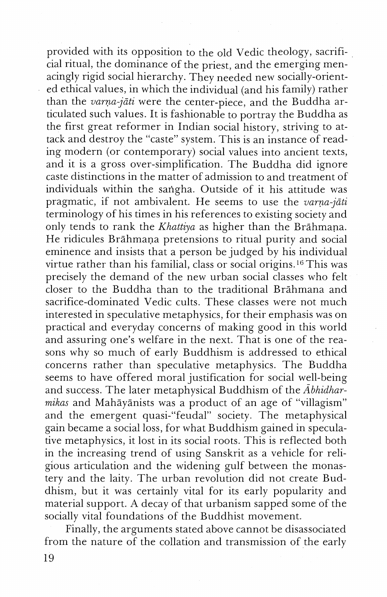provided with its opposition to the old Vedic theology, sacrificial ritual, the dominance of the priest, and the emerging menacingly rigid social hierarchy. They needed new socially-oriented ethical values, in which the individual (and his family) rather than the *varna-jāti* were the center-piece, and the Buddha articulated such values. It is fashionable to portray the Buddha as the first great reformer in Indian social history, striving to attack and destroy the "caste" system. This is an instance of reading modern (or contemporary) social values into ancient texts, and it is a gross over-simplification. The Buddha did ignore caste distinctions in the matter of admission to and treatment of individuals within the sarigha. Outside of it his attitude was pragmatic, if not ambivalent. He seems to use the *varna-jati* terminology of his times in his references to existing society and only tends to rank the *Khattiya* as higher than the Brāhmana. He ridicules Brahmana pretensions to ritual purity and social eminence and insists that a person be judged by his individual virtue rather than his familial, class or social origins.<sup>16</sup> This was precisely the demand of the new urban social classes who felt closer to the Buddha than to the traditional Brāhmana and sacrifice-dominated Vedic cults. These classes were not much interested in speculative metaphysics, for their emphasis was on practical and everyday concerns of making good in this world and assuring one's welfare in the next. That is one of the reasons why so much of early Buddhism is addressed to ethical concerns rather than speculative metaphysics. The Buddha seems to have offered moral justification for social well-being and success. The later metaphysical Buddhism of the *Abhidharmikas* and Mahayanists was a product of an age of "villagism" and the emergent quasi-"feudal" society. The metaphysical gain became a social loss, for what Buddhism gained in speculative metaphysics, it lost in its social roots. This is reflected both in the increasing trend of using Sanskrit as a vehicle for religious articulation and the widening gulf between the monastery and the laity. The urban revolution did not create Buddhism, but it was certainly vital for its early popularity and material support. A decay of that urbanism sapped some of the socially vital foundations of the Buddhist movement.

Finally, the arguments stated above cannot be disassociated from the nature of the collation and transmission of the early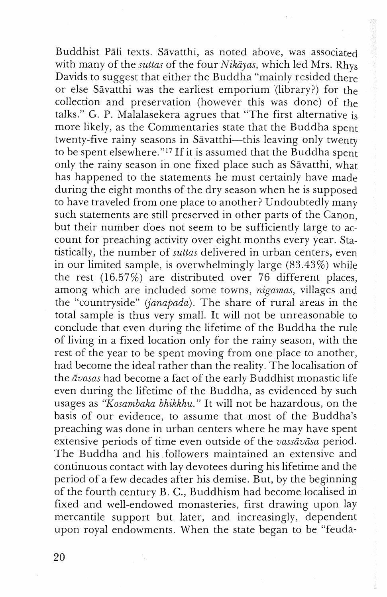Buddhist Pāli texts. Sāvatthi, as noted above, was associated with many of the *suttas* of the four *Nikāyas*, which led Mrs. Rhys Davids to suggest that either the Buddha "mainly resided there or else Sāvatthi was the earliest emporium (library?) for the collection and preservation (however this was done) of the talks." **6.** P. Malalasekera agrues that "The first alternative is more likely, as the Commentaries state that the Buddha spent twenty-five rainy seasons in Sāvatthi-this leaving only twenty to be spent elsewhere."<sup>17</sup> If it is assumed that the Buddha spent only the rainy season in one fixed place such as Sāvatthi, what has happened to the statements he must certainly have made during the eight months of the dry season when he is supposed to have traveled from one place to another? Undoubtedly many such statements are still preserved in other parts of the Canon, but their number does not seem to be sufficiently large to account for preaching activity over eight months every year. Statistically, the number of *suttas* delivered in urban centers, even in our limited sample, is overwhelmingly large  $(83.43\%)$  while the rest (16.57%) are distributed over 76 different places, among which are included some towns, *nigamas,* villages and the "countryside" *(janapada).* The share of rural areas in the total sample is thus very small. It will not be unreasonable to conclude that even during the lifetime of the Buddha the rule of living in a fixed location only for the rainy season, with the rest of the year to be spent moving from one place to another, had become the ideal rather than the reality. The localisation of the *avasas* had become a fact of the early Buddhist monastic life even during the lifetime of the Buddha, as evidenced by such usages as "Kosambaka bhikkhu." It will not be hazardous, on the basis of our evidence, to assume that most of the Buddha's preaching was done in urban centers where he may have spent extensive periods of time even outside of the *vassavasa* period. The Buddha and his followers maintained an extensive and continuous contact with lay devotees during his lifetime and the period of a few decades after his demise. But, by the beginning of the fourth century B. C., Buddhism had become localised in fixed and well-endowed monasteries, first drawing upon lay mercantile support but later, and increasingly, dependent upon royal endowments. When the state began to be "feuda-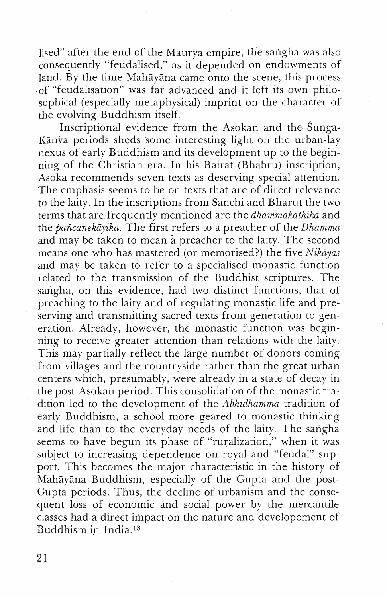lised" after the end of the Maurya empire, the sarigha was also consequently "feudalised," as it depended on endowments of land. By the time Mahāyāna came onto the scene, this process of "feudalisation" was far advanced and it left its own philosophical (especially metaphysical) imprint on the character of the evolving Buddhism itself.

Inscriptional evidence from the Asokan and the Sunga-Kānva periods sheds some interesting light on the urban-lay nexus of early Buddhism and its development up to the beginning of the Christian era. In his Bairat (Bhabru) inscription, Asoka recommends seven texts as deserving special attention. The emphasis seems to be on texts that are of direct relevance to the laity. In the inscriptions from Sanchi and Bharut the two terms that are frequently mentioned are the *dhammakathika* and the *pa6canekayika.* The first refers to a preacher of the *Dhamma*  and may be taken to mean a preacher to the laity. The second means one who has mastered (or memorised?) the five *Nikāyas* and may be taken to refer to a specialised monastic function related to the transmission of the Buddhist scriptures. The sarigha, on this evidence, had two distinct functions, that of preaching to the laity and of regulating monastic life and preserving and transmitting sacred texts from generation to generation. Already, however, the monastic function was beginning to receive greater attention than relations with the laity. This may partially reflect the large number of donors coming from villages and the countryside rather than the great urban centers which, presumably, were already in a state of decay in the post-Asokan period. This consolidation of the monastic tradition led to the development of the *Abhidhamma* tradition of early Buddhism, a school more geared to monastic thinking and life than to the everyday needs of the laity. The sangha seems to have begun its phase of "ruralization," when it was subject to increasing dependence on royal and "feudal" support. This becomes the major characteristic in the history of Mahayana Buddhism, especially of the Gupta and the post-Gupta periods. Thus, the decline of urbanism and the consequent loss of economic and social power by the mercantile classes had a direct impact on the nature and developement of Buddhism in India.<sup>18</sup>